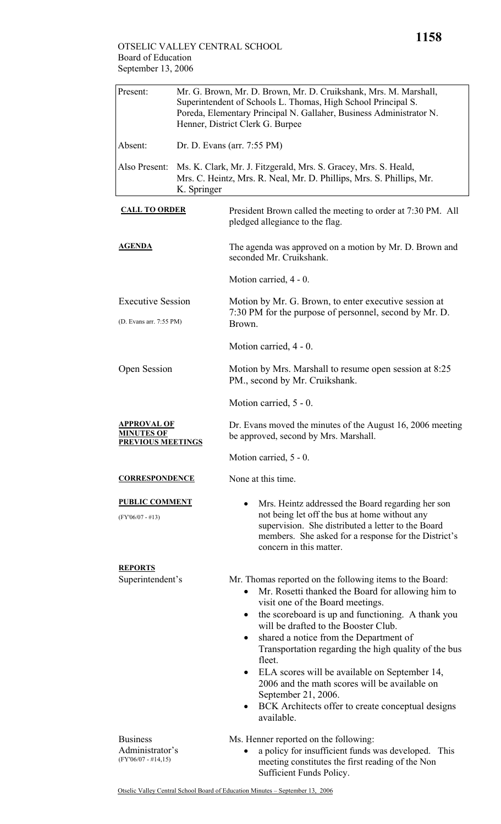| Present:                                                            | Mr. G. Brown, Mr. D. Brown, Mr. D. Cruikshank, Mrs. M. Marshall,<br>Superintendent of Schools L. Thomas, High School Principal S.<br>Poreda, Elementary Principal N. Gallaher, Business Administrator N.<br>Henner, District Clerk G. Burpee |                                                                                                                                                                                                                                                                                                                                                                                                                                                                                                                                                                               |  |  |
|---------------------------------------------------------------------|----------------------------------------------------------------------------------------------------------------------------------------------------------------------------------------------------------------------------------------------|-------------------------------------------------------------------------------------------------------------------------------------------------------------------------------------------------------------------------------------------------------------------------------------------------------------------------------------------------------------------------------------------------------------------------------------------------------------------------------------------------------------------------------------------------------------------------------|--|--|
| Absent:                                                             | Dr. D. Evans (arr. 7:55 PM)                                                                                                                                                                                                                  |                                                                                                                                                                                                                                                                                                                                                                                                                                                                                                                                                                               |  |  |
| Also Present:                                                       | Ms. K. Clark, Mr. J. Fitzgerald, Mrs. S. Gracey, Mrs. S. Heald,<br>Mrs. C. Heintz, Mrs. R. Neal, Mr. D. Phillips, Mrs. S. Phillips, Mr.<br>K. Springer                                                                                       |                                                                                                                                                                                                                                                                                                                                                                                                                                                                                                                                                                               |  |  |
| <b>CALL TO ORDER</b>                                                |                                                                                                                                                                                                                                              | President Brown called the meeting to order at 7:30 PM. All<br>pledged allegiance to the flag.                                                                                                                                                                                                                                                                                                                                                                                                                                                                                |  |  |
| <b>AGENDA</b>                                                       |                                                                                                                                                                                                                                              | The agenda was approved on a motion by Mr. D. Brown and<br>seconded Mr. Cruikshank.                                                                                                                                                                                                                                                                                                                                                                                                                                                                                           |  |  |
|                                                                     |                                                                                                                                                                                                                                              | Motion carried, 4 - 0.                                                                                                                                                                                                                                                                                                                                                                                                                                                                                                                                                        |  |  |
| <b>Executive Session</b><br>(D. Evans arr. 7:55 PM)                 |                                                                                                                                                                                                                                              | Motion by Mr. G. Brown, to enter executive session at<br>7:30 PM for the purpose of personnel, second by Mr. D.<br>Brown.                                                                                                                                                                                                                                                                                                                                                                                                                                                     |  |  |
|                                                                     |                                                                                                                                                                                                                                              | Motion carried, 4 - 0.                                                                                                                                                                                                                                                                                                                                                                                                                                                                                                                                                        |  |  |
| Open Session                                                        |                                                                                                                                                                                                                                              | Motion by Mrs. Marshall to resume open session at 8:25<br>PM., second by Mr. Cruikshank.                                                                                                                                                                                                                                                                                                                                                                                                                                                                                      |  |  |
|                                                                     |                                                                                                                                                                                                                                              | Motion carried, 5 - 0.                                                                                                                                                                                                                                                                                                                                                                                                                                                                                                                                                        |  |  |
| <u>APPROVAL OF</u><br><b>MINUTES OF</b><br><b>PREVIOUS MEETINGS</b> |                                                                                                                                                                                                                                              | Dr. Evans moved the minutes of the August 16, 2006 meeting<br>be approved, second by Mrs. Marshall.                                                                                                                                                                                                                                                                                                                                                                                                                                                                           |  |  |
|                                                                     |                                                                                                                                                                                                                                              | Motion carried, 5 - 0.                                                                                                                                                                                                                                                                                                                                                                                                                                                                                                                                                        |  |  |
| <b>CORRESPONDENCE</b>                                               |                                                                                                                                                                                                                                              | None at this time.                                                                                                                                                                                                                                                                                                                                                                                                                                                                                                                                                            |  |  |
| <b>PUBLIC COMMENT</b><br>$(FY'06/07 - #13)$                         |                                                                                                                                                                                                                                              | Mrs. Heintz addressed the Board regarding her son<br>not being let off the bus at home without any<br>supervision. She distributed a letter to the Board<br>members. She asked for a response for the District's<br>concern in this matter.                                                                                                                                                                                                                                                                                                                                   |  |  |
| <b>REPORTS</b><br>Superintendent's                                  |                                                                                                                                                                                                                                              | Mr. Thomas reported on the following items to the Board:<br>Mr. Rosetti thanked the Board for allowing him to<br>visit one of the Board meetings.<br>the scoreboard is up and functioning. A thank you<br>$\bullet$<br>will be drafted to the Booster Club.<br>shared a notice from the Department of<br>٠<br>Transportation regarding the high quality of the bus<br>fleet.<br>ELA scores will be available on September 14,<br>٠<br>2006 and the math scores will be available on<br>September 21, 2006.<br>BCK Architects offer to create conceptual designs<br>available. |  |  |
| <b>Business</b><br>Administrator's<br>$(FY'06/07 - #14,15)$         |                                                                                                                                                                                                                                              | Ms. Henner reported on the following:<br>a policy for insufficient funds was developed. This<br>meeting constitutes the first reading of the Non<br>Sufficient Funds Policy.                                                                                                                                                                                                                                                                                                                                                                                                  |  |  |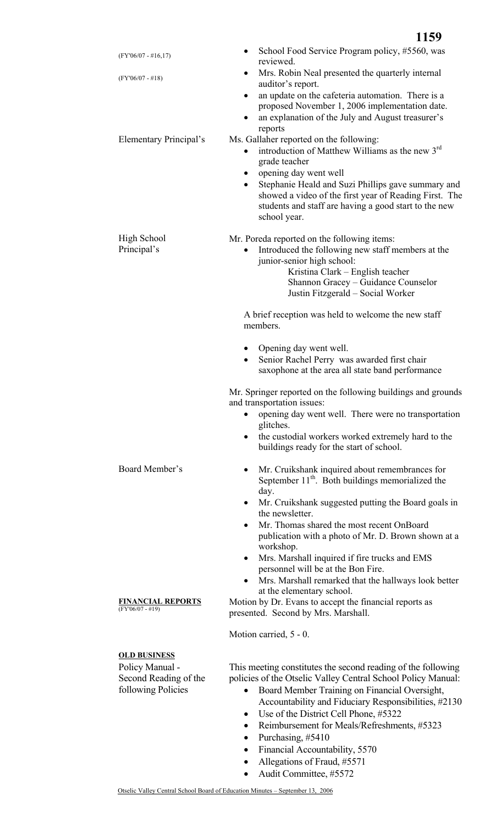| $(FY'06/07 - #16,17)$                                                                 | School Food Service Program policy, #5560, was<br>reviewed.                                                                                                                                                                                                                                                                                                                            |
|---------------------------------------------------------------------------------------|----------------------------------------------------------------------------------------------------------------------------------------------------------------------------------------------------------------------------------------------------------------------------------------------------------------------------------------------------------------------------------------|
| $(FY'06/07 - #18)$                                                                    | Mrs. Robin Neal presented the quarterly internal<br>$\bullet$<br>auditor's report.                                                                                                                                                                                                                                                                                                     |
|                                                                                       | an update on the cafeteria automation. There is a<br>$\bullet$<br>proposed November 1, 2006 implementation date.<br>an explanation of the July and August treasurer's<br>$\bullet$<br>reports                                                                                                                                                                                          |
| <b>Elementary Principal's</b>                                                         | Ms. Gallaher reported on the following:<br>introduction of Matthew Williams as the new 3rd<br>$\bullet$<br>grade teacher<br>opening day went well<br>٠<br>Stephanie Heald and Suzi Phillips gave summary and<br>$\bullet$<br>showed a video of the first year of Reading First. The<br>students and staff are having a good start to the new<br>school year.                           |
| <b>High School</b><br>Principal's                                                     | Mr. Poreda reported on the following items:<br>Introduced the following new staff members at the<br>$\bullet$<br>junior-senior high school:<br>Kristina Clark – English teacher<br>Shannon Gracey - Guidance Counselor<br>Justin Fitzgerald - Social Worker                                                                                                                            |
|                                                                                       | A brief reception was held to welcome the new staff<br>members.                                                                                                                                                                                                                                                                                                                        |
|                                                                                       | Opening day went well.<br>$\bullet$<br>Senior Rachel Perry was awarded first chair<br>$\bullet$<br>saxophone at the area all state band performance                                                                                                                                                                                                                                    |
|                                                                                       | Mr. Springer reported on the following buildings and grounds<br>and transportation issues:<br>opening day went well. There were no transportation<br>glitches.<br>the custodial workers worked extremely hard to the<br>$\bullet$<br>buildings ready for the start of school.                                                                                                          |
| Board Member's                                                                        | Mr. Cruikshank inquired about remembrances for<br>$\bullet$<br>September 11 <sup>th</sup> . Both buildings memorialized the<br>day.<br>Mr. Cruikshank suggested putting the Board goals in<br>$\bullet$<br>the newsletter.<br>Mr. Thomas shared the most recent OnBoard<br>$\bullet$<br>publication with a photo of Mr. D. Brown shown at a<br>workshop.                               |
| <b>FINANCIAL REPORTS</b><br>(FY'06/07 - #19)                                          | Mrs. Marshall inquired if fire trucks and EMS<br>$\bullet$<br>personnel will be at the Bon Fire.<br>Mrs. Marshall remarked that the hallways look better<br>at the elementary school.<br>Motion by Dr. Evans to accept the financial reports as<br>presented. Second by Mrs. Marshall.                                                                                                 |
|                                                                                       | Motion carried, 5 - 0.                                                                                                                                                                                                                                                                                                                                                                 |
| <b>OLD BUSINESS</b><br>Policy Manual -<br>Second Reading of the<br>following Policies | This meeting constitutes the second reading of the following<br>policies of the Otselic Valley Central School Policy Manual:<br>Board Member Training on Financial Oversight,<br>٠<br>Accountability and Fiduciary Responsibilities, #2130<br>Use of the District Cell Phone, #5322<br>٠<br>Reimbursement for Meals/Refreshments, #5323<br>$\bullet$<br>Purchasing, #5410<br>$\bullet$ |

- Financial Accountability, 5570
- Allegations of Fraud, #5571
- Audit Committee, #5572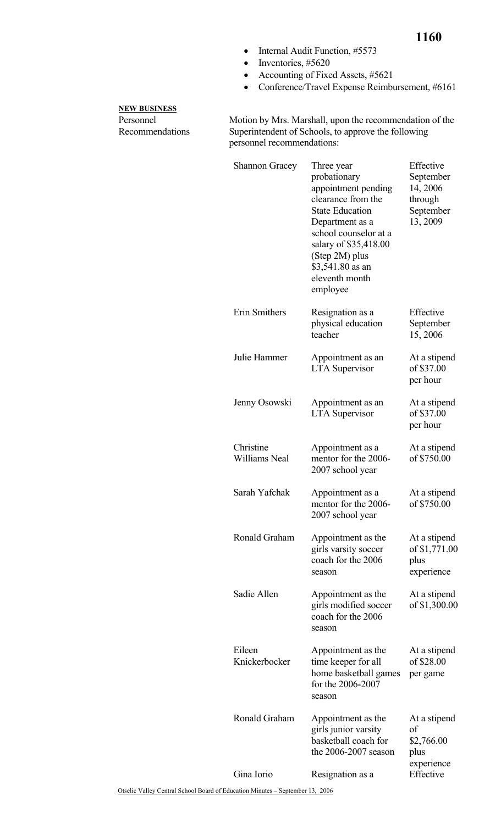- Internal Audit Function, #5573
- Inventories, #5620
- Accounting of Fixed Assets, #5621
- Conference/Travel Expense Reimbursement, #6161

## **NEW BUSINESS**

Personnel Recommendations Motion by Mrs. Marshall, upon the recommendation of the Superintendent of Schools, to approve the following personnel recommendations:

| <b>Shannon Gracey</b>             | Three year<br>probationary<br>appointment pending<br>clearance from the<br><b>State Education</b><br>Department as a<br>school counselor at a<br>salary of \$35,418.00<br>(Step 2M) plus<br>\$3,541.80 as an<br>eleventh month<br>employee | Effective<br>September<br>14, 2006<br>through<br>September<br>13, 2009 |
|-----------------------------------|--------------------------------------------------------------------------------------------------------------------------------------------------------------------------------------------------------------------------------------------|------------------------------------------------------------------------|
| Erin Smithers                     | Resignation as a<br>physical education<br>teacher                                                                                                                                                                                          | Effective<br>September<br>15,2006                                      |
| Julie Hammer                      | Appointment as an<br><b>LTA</b> Supervisor                                                                                                                                                                                                 | At a stipend<br>of \$37.00<br>per hour                                 |
| Jenny Osowski                     | Appointment as an<br><b>LTA</b> Supervisor                                                                                                                                                                                                 | At a stipend<br>of \$37.00<br>per hour                                 |
| Christine<br><b>Williams Neal</b> | Appointment as a<br>mentor for the 2006-<br>2007 school year                                                                                                                                                                               | At a stipend<br>of \$750.00                                            |
| Sarah Yafchak                     | Appointment as a<br>mentor for the 2006-<br>2007 school year                                                                                                                                                                               | At a stipend<br>of \$750.00                                            |
| Ronald Graham                     | Appointment as the<br>girls varsity soccer<br>coach for the 2006<br>season                                                                                                                                                                 | At a stipend<br>of \$1,771.00<br>plus<br>experience                    |
| Sadie Allen                       | Appointment as the<br>girls modified soccer<br>coach for the 2006<br>season                                                                                                                                                                | At a stipend<br>of \$1,300.00                                          |
| Eileen<br>Knickerbocker           | Appointment as the<br>time keeper for all<br>home basketball games<br>for the 2006-2007<br>season                                                                                                                                          | At a stipend<br>of \$28.00<br>per game                                 |
| Ronald Graham                     | Appointment as the<br>girls junior varsity<br>basketball coach for<br>the 2006-2007 season                                                                                                                                                 | At a stipend<br>of<br>\$2,766.00<br>plus<br>experience                 |
| Gina Iorio                        | Resignation as a                                                                                                                                                                                                                           | Effective                                                              |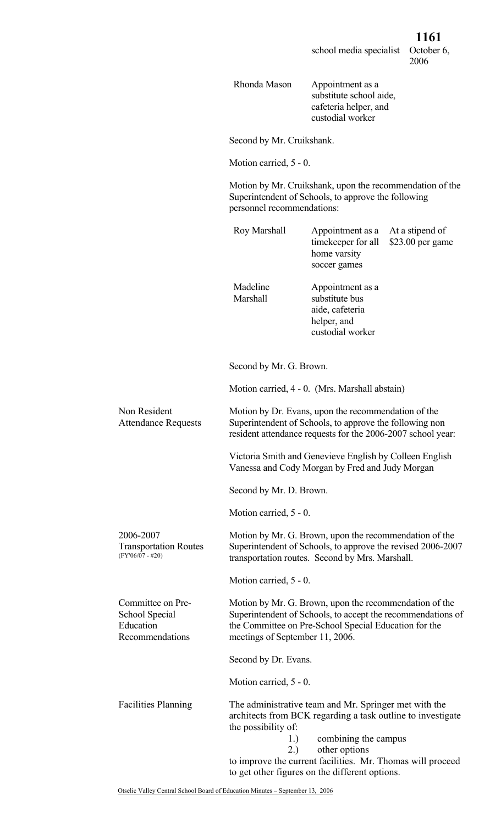Rhonda Mason Appointment as a substitute school aide, cafeteria helper, and custodial worker

Second by Mr. Cruikshank.

Motion carried, 5 - 0.

Motion by Mr. Cruikshank, upon the recommendation of the Superintendent of Schools, to approve the following

|                                                                     | personnel recommendations:                                                                                                                                                                                        |                                                                                                                                                                               |                                     |
|---------------------------------------------------------------------|-------------------------------------------------------------------------------------------------------------------------------------------------------------------------------------------------------------------|-------------------------------------------------------------------------------------------------------------------------------------------------------------------------------|-------------------------------------|
|                                                                     | Roy Marshall                                                                                                                                                                                                      | Appointment as a<br>timekeeper for all<br>home varsity<br>soccer games                                                                                                        | At a stipend of<br>\$23.00 per game |
|                                                                     | Madeline<br>Marshall                                                                                                                                                                                              | Appointment as a<br>substitute bus<br>aide, cafeteria<br>helper, and<br>custodial worker                                                                                      |                                     |
|                                                                     | Second by Mr. G. Brown.                                                                                                                                                                                           |                                                                                                                                                                               |                                     |
|                                                                     |                                                                                                                                                                                                                   | Motion carried, 4 - 0. (Mrs. Marshall abstain)                                                                                                                                |                                     |
| Non Resident<br><b>Attendance Requests</b>                          |                                                                                                                                                                                                                   | Motion by Dr. Evans, upon the recommendation of the<br>Superintendent of Schools, to approve the following non<br>resident attendance requests for the 2006-2007 school year: |                                     |
|                                                                     | Victoria Smith and Genevieve English by Colleen English<br>Vanessa and Cody Morgan by Fred and Judy Morgan                                                                                                        |                                                                                                                                                                               |                                     |
|                                                                     | Second by Mr. D. Brown.                                                                                                                                                                                           |                                                                                                                                                                               |                                     |
|                                                                     | Motion carried, 5 - 0.                                                                                                                                                                                            |                                                                                                                                                                               |                                     |
| 2006-2007<br><b>Transportation Routes</b><br>$(FY'06/07 - #20)$     | Motion by Mr. G. Brown, upon the recommendation of the<br>Superintendent of Schools, to approve the revised 2006-2007<br>transportation routes. Second by Mrs. Marshall.                                          |                                                                                                                                                                               |                                     |
|                                                                     | Motion carried, 5 - 0.                                                                                                                                                                                            |                                                                                                                                                                               |                                     |
| Committee on Pre-<br>School Special<br>Education<br>Recommendations | Motion by Mr. G. Brown, upon the recommendation of the<br>Superintendent of Schools, to accept the recommendations of<br>the Committee on Pre-School Special Education for the<br>meetings of September 11, 2006. |                                                                                                                                                                               |                                     |
|                                                                     | Second by Dr. Evans.                                                                                                                                                                                              |                                                                                                                                                                               |                                     |
|                                                                     | Motion carried, 5 - 0.                                                                                                                                                                                            |                                                                                                                                                                               |                                     |
| <b>Facilities Planning</b>                                          |                                                                                                                                                                                                                   | The administrative team and Mr. Springer met with the<br>architects from BCK regarding a task outline to investigate                                                          |                                     |

egarding a task outline to investigate the possibility of: 1.) combining the campus

- 2.) other options
- to improve the current facilities. Mr. Thomas will proceed to get other figures on the different options.